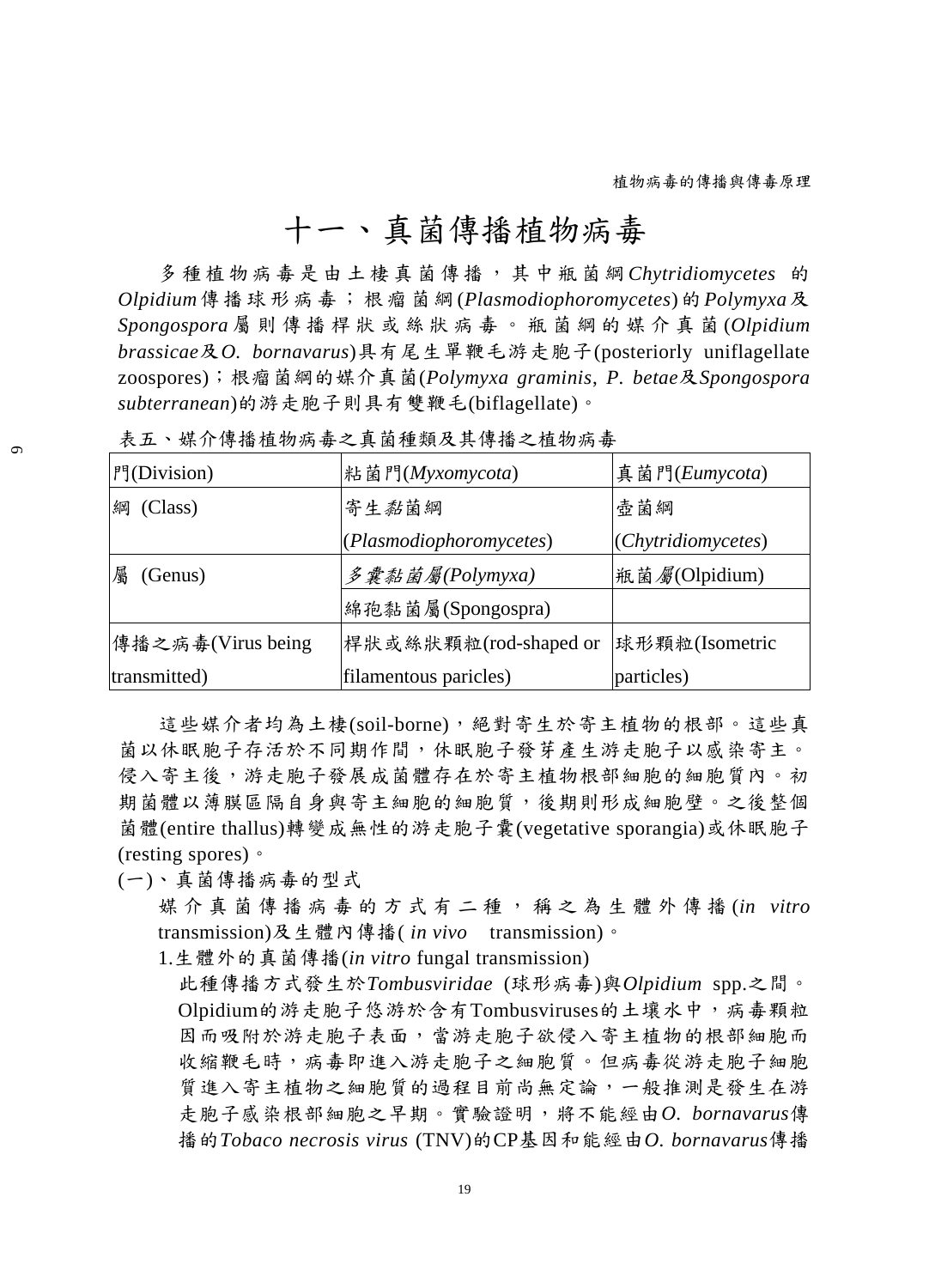## 十一、真菌傳播植物病毒

多 種 植 物 病 毒 是 由 土 棲 真 菌 傳 播 , 其 中 瓶 菌 綱 *Chytridiomycetes* 的 *Olpidium*傳 播 球 形 病 毒 ; 根 瘤 菌 綱 (*Plasmodiophoromycetes*)的 *Polymyxa*及 *Spongospora* 屬則傳播桿狀或絲狀病毒。瓶菌綱的媒介真菌 (*Olpidium brassicae*及*O. bornavarus*)具有尾生單鞭毛游走胞子(posteriorly uniflagellate zoospores);根瘤菌綱的媒介真菌(*Polymyxa graminis*, *P. betae*及*Spongospora subterranean*)的游走胞子則具有雙鞭毛(biflagellate)。

| 門(Division)       | 粘菌門(Myxomycota)         | 真菌門(Eumycota)          |
|-------------------|-------------------------|------------------------|
| 綱<br>(Class)      | 寄生黏菌綱                   | 壺菌綱                    |
|                   | (Plasmodiophoromycetes) | (Chytridiomycetes)     |
| 屬<br>(Genus)      | 多囊黏菌屬(Polymyxa)         | 瓶菌 <i>屬</i> (Olpidium) |
|                   | 綿孢黏菌屬(Spongospra)       |                        |
| 傳播之病毒(Virus being | 桿狀或絲狀顆粒(rod-shaped or   | 球形顆粒(Isometric         |
| transmitted)      | filamentous paricles)   | particles)             |

表五、媒介傳播植物病毒之真菌種類及其傳播之植物病毒

這些媒介者均為土棲(soil-borne),絕對寄生於寄主植物的根部。這些真 菌以休眠胞子存活於不同期作間,休眠胞子發芽產生游走胞子以感染寄主。 侵入寄主後,游走胞子發展成菌體存在於寄主植物根部細胞的細胞質內。初 期菌體以薄膜區隔自身與寄主細胞的細胞質,後期則形成細胞壁。之後整個 菌體(entire thallus)轉變成無性的游走胞子囊(vegetative sporangia)或休眠胞子 (resting spores)。

(一)、真菌傳播病毒的型式

媒介真菌傳播病毒的方式有二種,稱之為生體外傳播 (*in vitro* transmission)及生體內傳播( *in vivo* transmission)。

1.生體外的真菌傳播(*in vitro* fungal transmission)

此種傳播方式發生於*Tombusviridae* (球形病毒)與*Olpidium* spp.之間。 Olpidium的游走胞子悠游於含有Tombusviruses的土壤水中,病毒顆粒 因而吸附於游走胞子表面,當游走胞子欲侵入寄主植物的根部細胞而 收縮鞭毛時,病毒即進入游走胞子之細胞質。但病毒從游走胞子細胞 質進入寄主植物之細胞質的過程目前尚無定論,一般推測是發生在游 走胞子感染根部細胞之早期。實驗證明,將不能經由*O. bornavarus*傳 播的*Tobaco necrosis virus* (TNV)的CP基因和能經由*O. bornavarus*傳播